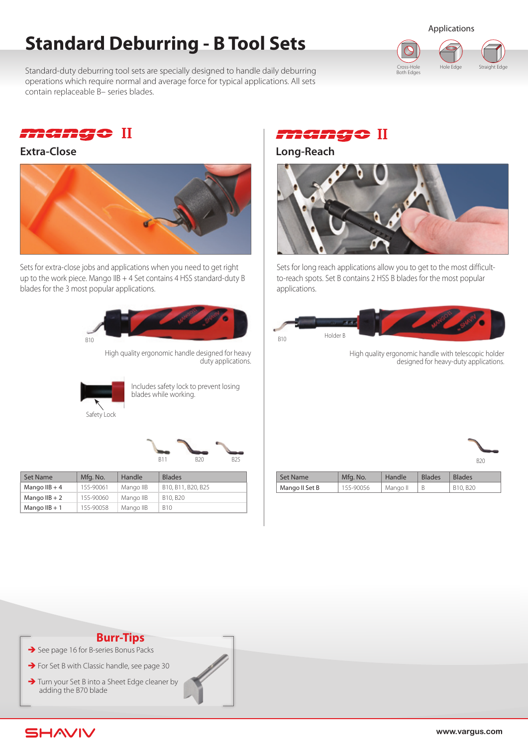# **Standard Deburring - B Tool Sets**

Applications



Standard-duty deburring tool sets are specially designed to handle daily deburring operations which require normal and average force for typical applications. All sets contain replaceable B– series blades.



### **Extra-Close**



Sets for extra-close jobs and applications when you need to get right up to the work piece. Mango IIB + 4 Set contains 4 HSS standard-duty B blades for the 3 most popular applications.



High quality ergonomic handle designed for heavy duty applications.



Includes safety lock to prevent losing blades while working.

B11 B20 B25 B20

| <b>Set Name</b> | Mfg. No.  | Handle    | <b>Blades</b>                     |
|-----------------|-----------|-----------|-----------------------------------|
| Mango $IIB + 4$ | 155-90061 | Mango IIB | B10, B11, B20, B25                |
| Mango $IIB + 2$ | 155-90060 | Mango IIB | B <sub>10</sub> , B <sub>20</sub> |
| Mango $IIB + 1$ | 155-90058 | Mango IIB | <b>B10</b>                        |

### mange II

**Long-Reach**



Sets for long reach applications allow you to get to the most difficultto-reach spots. Set B contains 2 HSS B blades for the most popular applications.



High quality ergonomic handle with telescopic holder designed for heavy-duty applications.



| Set Name       | Mfg. No.  | Handle   | <b>Blades</b> | <b>Blades</b> |
|----------------|-----------|----------|---------------|---------------|
| Mango II Set B | 155-90056 | Mango II |               | 'B10, B20     |



- $\rightarrow$  See page 16 for B-series Bonus Packs
- For Set B with Classic handle, see page 30
- Turn your Set B into a Sheet Edge cleaner by adding the B70 blade